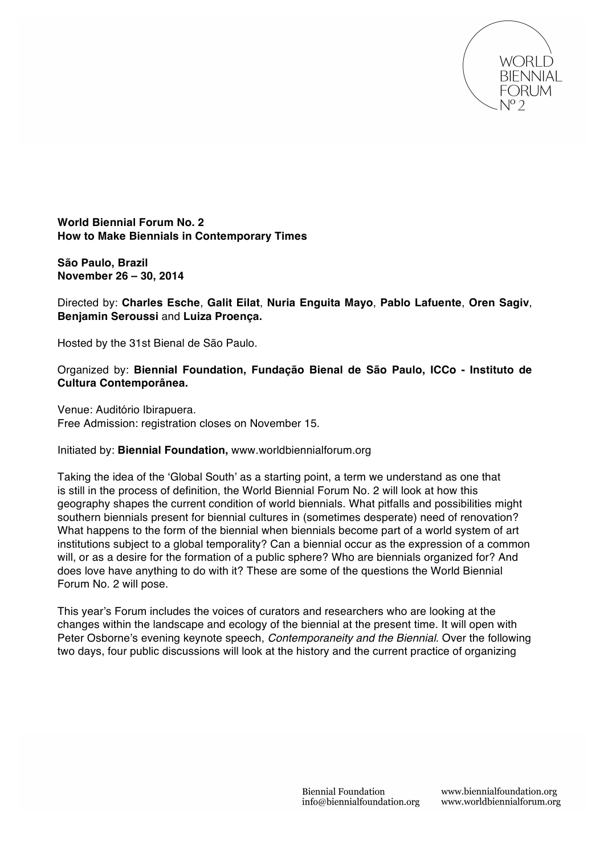

**World Biennial Forum No. 2 How to Make Biennials in Contemporary Times**

**São Paulo, Brazil November 26 – 30, 2014**

Directed by: **Charles Esche**, **Galit Eilat**, **Nuria Enguita Mayo**, **Pablo Lafuente**, **Oren Sagiv**, **Benjamin Seroussi** and **Luiza Proença.** 

Hosted by the 31st Bienal de São Paulo.

Organized by: **Biennial Foundation, Fundação Bienal de São Paulo, ICCo - Instituto de Cultura Contemporânea.**

Venue: Auditório Ibirapuera. Free Admission: registration closes on November 15.

## Initiated by: **Biennial Foundation,** www.worldbiennialforum.org

Taking the idea of the ʻGlobal South' as a starting point, a term we understand as one that is still in the process of definition, the World Biennial Forum No. 2 will look at how this geography shapes the current condition of world biennials. What pitfalls and possibilities might southern biennials present for biennial cultures in (sometimes desperate) need of renovation? What happens to the form of the biennial when biennials become part of a world system of art institutions subject to a global temporality? Can a biennial occur as the expression of a common will, or as a desire for the formation of a public sphere? Who are biennials organized for? And does love have anything to do with it? These are some of the questions the World Biennial Forum No. 2 will pose.

This year's Forum includes the voices of curators and researchers who are looking at the changes within the landscape and ecology of the biennial at the present time. It will open with Peter Osborne's evening keynote speech, *Contemporaneity and the Biennial*. Over the following two days, four public discussions will look at the history and the current practice of organizing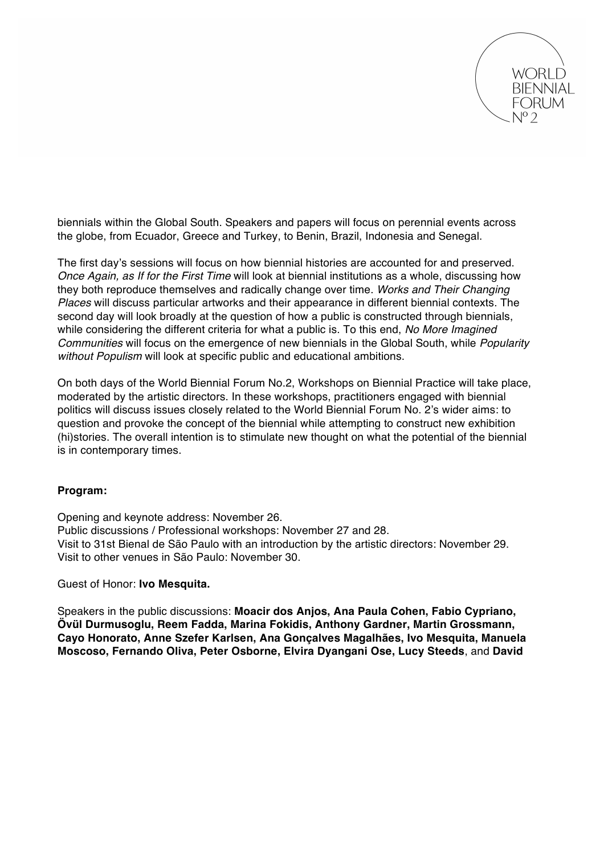

biennials within the Global South. Speakers and papers will focus on perennial events across the globe, from Ecuador, Greece and Turkey, to Benin, Brazil, Indonesia and Senegal.

The first day's sessions will focus on how biennial histories are accounted for and preserved. *Once Again, as If for the First Time* will look at biennial institutions as a whole, discussing how they both reproduce themselves and radically change over time. *Works and Their Changing Places* will discuss particular artworks and their appearance in different biennial contexts. The second day will look broadly at the question of how a public is constructed through biennials, while considering the different criteria for what a public is. To this end, *No More Imagined Communities* will focus on the emergence of new biennials in the Global South, while *Popularity without Populism* will look at specific public and educational ambitions.

On both days of the World Biennial Forum No.2, Workshops on Biennial Practice will take place, moderated by the artistic directors. In these workshops, practitioners engaged with biennial politics will discuss issues closely related to the World Biennial Forum No. 2's wider aims: to question and provoke the concept of the biennial while attempting to construct new exhibition (hi)stories. The overall intention is to stimulate new thought on what the potential of the biennial is in contemporary times.

## **Program:**

Opening and keynote address: November 26. Public discussions / Professional workshops: November 27 and 28. Visit to 31st Bienal de São Paulo with an introduction by the artistic directors: November 29. Visit to other venues in São Paulo: November 30.

Guest of Honor: **Ivo Mesquita.**

Speakers in the public discussions: **Moacir dos Anjos, Ana Paula Cohen, Fabio Cypriano, Övül Durmusoglu, Reem Fadda, Marina Fokidis, Anthony Gardner, Martin Grossmann, Cayo Honorato, Anne Szefer Karlsen, Ana Gonçalves Magalhães, Ivo Mesquita, Manuela Moscoso, Fernando Oliva, Peter Osborne, Elvira Dyangani Ose, Lucy Steeds**, and **David**